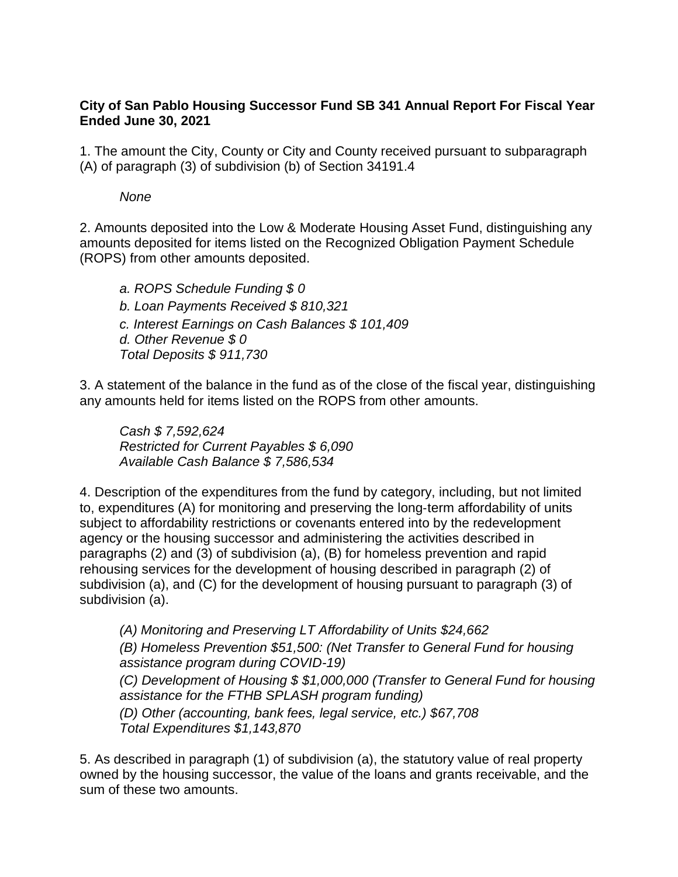## **City of San Pablo Housing Successor Fund SB 341 Annual Report For Fiscal Year Ended June 30, 2021**

1. The amount the City, County or City and County received pursuant to subparagraph (A) of paragraph (3) of subdivision (b) of Section 34191.4

## *None*

2. Amounts deposited into the Low & Moderate Housing Asset Fund, distinguishing any amounts deposited for items listed on the Recognized Obligation Payment Schedule (ROPS) from other amounts deposited.

*a. ROPS Schedule Funding \$ 0 b. Loan Payments Received \$ 810,321 c. Interest Earnings on Cash Balances \$ 101,409 d. Other Revenue \$ 0 Total Deposits \$ 911,730*

3. A statement of the balance in the fund as of the close of the fiscal year, distinguishing any amounts held for items listed on the ROPS from other amounts.

*Cash \$ 7,592,624 Restricted for Current Payables \$ 6,090 Available Cash Balance \$ 7,586,534*

4. Description of the expenditures from the fund by category, including, but not limited to, expenditures (A) for monitoring and preserving the long‐term affordability of units subject to affordability restrictions or covenants entered into by the redevelopment agency or the housing successor and administering the activities described in paragraphs (2) and (3) of subdivision (a), (B) for homeless prevention and rapid rehousing services for the development of housing described in paragraph (2) of subdivision (a), and (C) for the development of housing pursuant to paragraph (3) of subdivision (a).

*(A) Monitoring and Preserving LT Affordability of Units \$24,662*

*(B) Homeless Prevention \$51,500: (Net Transfer to General Fund for housing assistance program during COVID-19)*

*(C) Development of Housing \$ \$1,000,000 (Transfer to General Fund for housing assistance for the FTHB SPLASH program funding)*

*(D) Other (accounting, bank fees, legal service, etc.) \$67,708 Total Expenditures \$1,143,870*

5. As described in paragraph (1) of subdivision (a), the statutory value of real property owned by the housing successor, the value of the loans and grants receivable, and the sum of these two amounts.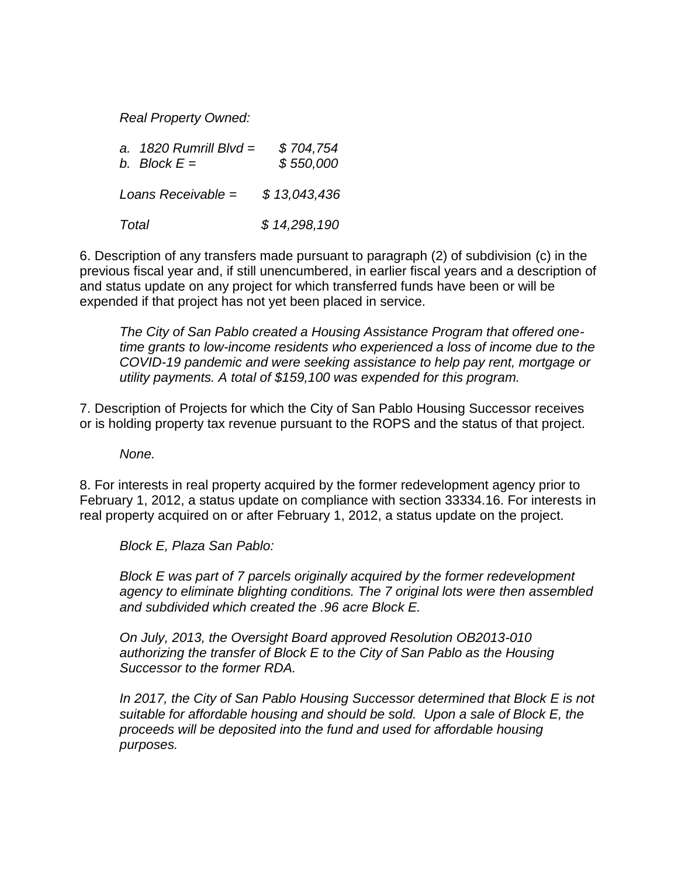*Real Property Owned:*

| a. $1820$ Rumrill Blvd =<br>b. Block $E =$ | \$704,754<br>\$550,000 |
|--------------------------------------------|------------------------|
| Loans Receivable $=$                       | \$13,043,436           |
| Total                                      | \$14,298,190           |

6. Description of any transfers made pursuant to paragraph (2) of subdivision (c) in the previous fiscal year and, if still unencumbered, in earlier fiscal years and a description of and status update on any project for which transferred funds have been or will be expended if that project has not yet been placed in service.

*The City of San Pablo created a Housing Assistance Program that offered onetime grants to low-income residents who experienced a loss of income due to the COVID-19 pandemic and were seeking assistance to help pay rent, mortgage or utility payments. A total of \$159,100 was expended for this program.* 

7. Description of Projects for which the City of San Pablo Housing Successor receives or is holding property tax revenue pursuant to the ROPS and the status of that project.

*None.*

8. For interests in real property acquired by the former redevelopment agency prior to February 1, 2012, a status update on compliance with section 33334.16. For interests in real property acquired on or after February 1, 2012, a status update on the project.

*Block E, Plaza San Pablo:*

*Block E was part of 7 parcels originally acquired by the former redevelopment agency to eliminate blighting conditions. The 7 original lots were then assembled and subdivided which created the .96 acre Block E.*

*On July, 2013, the Oversight Board approved Resolution OB2013-010 authorizing the transfer of Block E to the City of San Pablo as the Housing Successor to the former RDA.*

*In 2017, the City of San Pablo Housing Successor determined that Block E is not suitable for affordable housing and should be sold. Upon a sale of Block E, the proceeds will be deposited into the fund and used for affordable housing purposes.*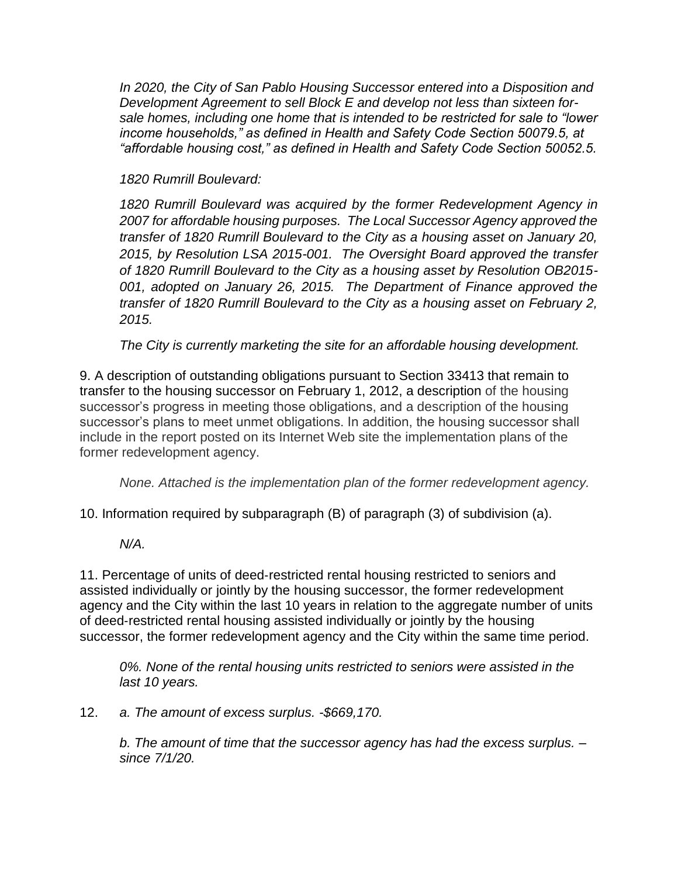*In 2020, the City of San Pablo Housing Successor entered into a Disposition and Development Agreement to sell Block E and develop not less than sixteen forsale homes, including one home that is intended to be restricted for sale to "lower income households," as defined in Health and Safety Code Section 50079.5, at "affordable housing cost," as defined in Health and Safety Code Section 50052.5.*

## *1820 Rumrill Boulevard:*

1820 Rumrill Boulevard was acquired by the former Redevelopment Agency in *2007 for affordable housing purposes. The Local Successor Agency approved the transfer of 1820 Rumrill Boulevard to the City as a housing asset on January 20, 2015, by Resolution LSA 2015-001. The Oversight Board approved the transfer of 1820 Rumrill Boulevard to the City as a housing asset by Resolution OB2015- 001, adopted on January 26, 2015. The Department of Finance approved the transfer of 1820 Rumrill Boulevard to the City as a housing asset on February 2, 2015.*

*The City is currently marketing the site for an affordable housing development.*

9. A description of outstanding obligations pursuant to Section 33413 that remain to transfer to the housing successor on February 1, 2012, a description of the housing successor's progress in meeting those obligations, and a description of the housing successor's plans to meet unmet obligations. In addition, the housing successor shall include in the report posted on its Internet Web site the implementation plans of the former redevelopment agency.

*None. Attached is the implementation plan of the former redevelopment agency.* 

10. Information required by subparagraph (B) of paragraph (3) of subdivision (a).

*N/A.*

11. Percentage of units of deed‐restricted rental housing restricted to seniors and assisted individually or jointly by the housing successor, the former redevelopment agency and the City within the last 10 years in relation to the aggregate number of units of deed‐restricted rental housing assisted individually or jointly by the housing successor, the former redevelopment agency and the City within the same time period.

*0%. None of the rental housing units restricted to seniors were assisted in the last 10 years.* 

12. *a. The amount of excess surplus. -\$669,170.* 

*b. The amount of time that the successor agency has had the excess surplus. – since 7/1/20.*